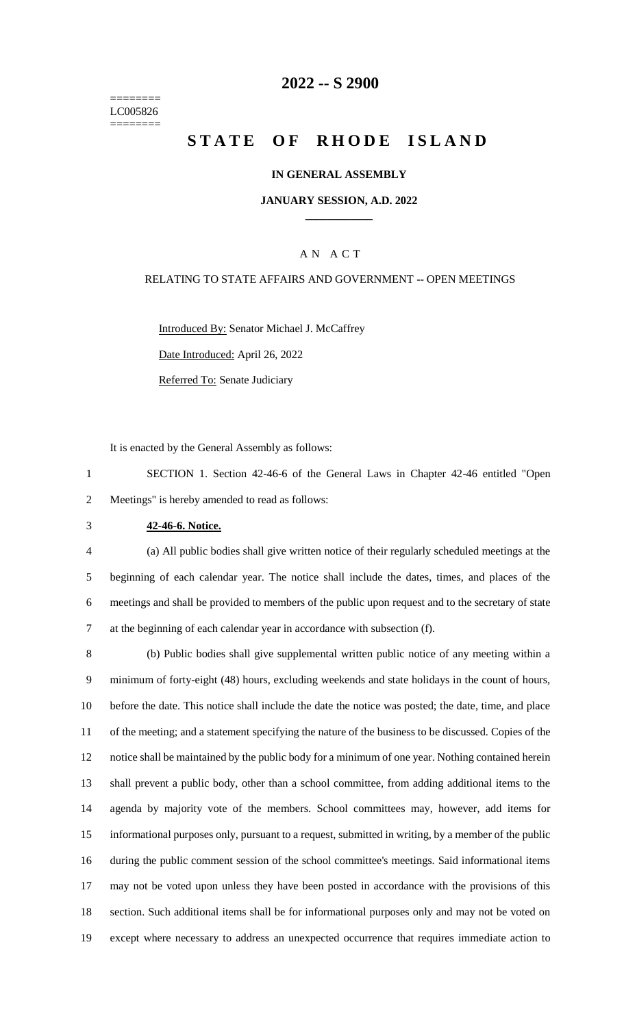======== LC005826 ========

### **-- S 2900**

# **STATE OF RHODE ISLAND**

#### **IN GENERAL ASSEMBLY**

#### **JANUARY SESSION, A.D. 2022 \_\_\_\_\_\_\_\_\_\_\_\_**

### A N A C T

#### RELATING TO STATE AFFAIRS AND GOVERNMENT -- OPEN MEETINGS

Introduced By: Senator Michael J. McCaffrey

Date Introduced: April 26, 2022

Referred To: Senate Judiciary

It is enacted by the General Assembly as follows:

 SECTION 1. Section 42-46-6 of the General Laws in Chapter 42-46 entitled "Open Meetings" is hereby amended to read as follows:

#### **42-46-6. Notice.**

 (a) All public bodies shall give written notice of their regularly scheduled meetings at the beginning of each calendar year. The notice shall include the dates, times, and places of the meetings and shall be provided to members of the public upon request and to the secretary of state at the beginning of each calendar year in accordance with subsection (f).

 (b) Public bodies shall give supplemental written public notice of any meeting within a minimum of forty-eight (48) hours, excluding weekends and state holidays in the count of hours, before the date. This notice shall include the date the notice was posted; the date, time, and place of the meeting; and a statement specifying the nature of the business to be discussed. Copies of the notice shall be maintained by the public body for a minimum of one year. Nothing contained herein shall prevent a public body, other than a school committee, from adding additional items to the agenda by majority vote of the members. School committees may, however, add items for informational purposes only, pursuant to a request, submitted in writing, by a member of the public during the public comment session of the school committee's meetings. Said informational items may not be voted upon unless they have been posted in accordance with the provisions of this section. Such additional items shall be for informational purposes only and may not be voted on except where necessary to address an unexpected occurrence that requires immediate action to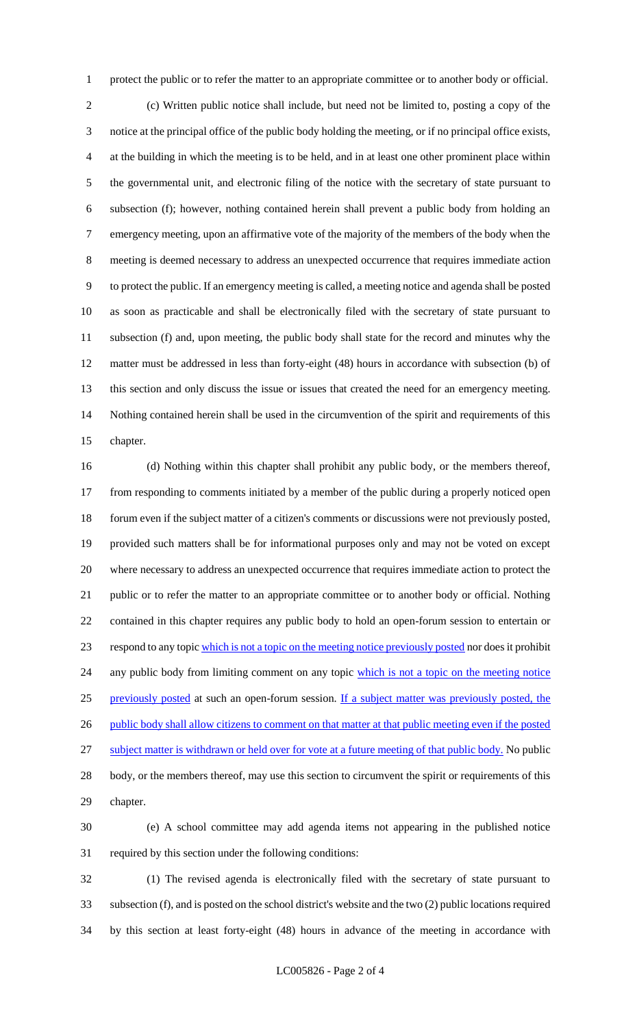protect the public or to refer the matter to an appropriate committee or to another body or official.

 (c) Written public notice shall include, but need not be limited to, posting a copy of the notice at the principal office of the public body holding the meeting, or if no principal office exists, at the building in which the meeting is to be held, and in at least one other prominent place within the governmental unit, and electronic filing of the notice with the secretary of state pursuant to subsection (f); however, nothing contained herein shall prevent a public body from holding an emergency meeting, upon an affirmative vote of the majority of the members of the body when the meeting is deemed necessary to address an unexpected occurrence that requires immediate action to protect the public. If an emergency meeting is called, a meeting notice and agenda shall be posted as soon as practicable and shall be electronically filed with the secretary of state pursuant to subsection (f) and, upon meeting, the public body shall state for the record and minutes why the matter must be addressed in less than forty-eight (48) hours in accordance with subsection (b) of this section and only discuss the issue or issues that created the need for an emergency meeting. Nothing contained herein shall be used in the circumvention of the spirit and requirements of this chapter.

 (d) Nothing within this chapter shall prohibit any public body, or the members thereof, from responding to comments initiated by a member of the public during a properly noticed open forum even if the subject matter of a citizen's comments or discussions were not previously posted, provided such matters shall be for informational purposes only and may not be voted on except where necessary to address an unexpected occurrence that requires immediate action to protect the public or to refer the matter to an appropriate committee or to another body or official. Nothing contained in this chapter requires any public body to hold an open-forum session to entertain or respond to any topic which is not a topic on the meeting notice previously posted nor does it prohibit 24 any public body from limiting comment on any topic which is not a topic on the meeting notice previously posted at such an open-forum session. If a subject matter was previously posted, the 26 public body shall allow citizens to comment on that matter at that public meeting even if the posted subject matter is withdrawn or held over for vote at a future meeting of that public body. No public body, or the members thereof, may use this section to circumvent the spirit or requirements of this chapter.

 (e) A school committee may add agenda items not appearing in the published notice required by this section under the following conditions:

 (1) The revised agenda is electronically filed with the secretary of state pursuant to subsection (f), and is posted on the school district's website and the two (2) public locations required by this section at least forty-eight (48) hours in advance of the meeting in accordance with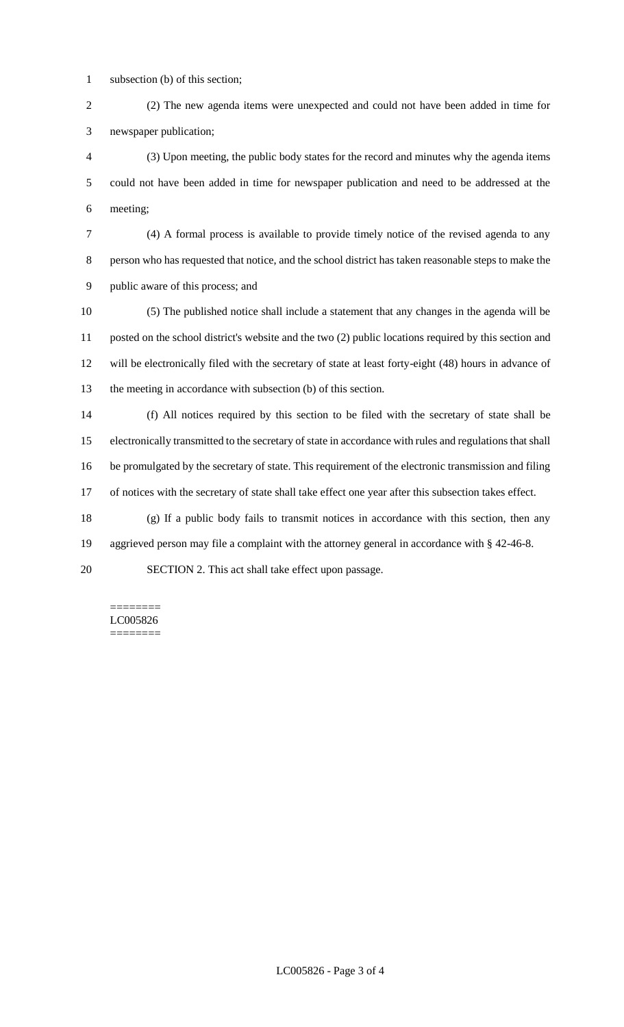subsection (b) of this section;

 (2) The new agenda items were unexpected and could not have been added in time for newspaper publication;

 (3) Upon meeting, the public body states for the record and minutes why the agenda items could not have been added in time for newspaper publication and need to be addressed at the meeting;

 (4) A formal process is available to provide timely notice of the revised agenda to any person who has requested that notice, and the school district has taken reasonable steps to make the public aware of this process; and

 (5) The published notice shall include a statement that any changes in the agenda will be posted on the school district's website and the two (2) public locations required by this section and will be electronically filed with the secretary of state at least forty-eight (48) hours in advance of the meeting in accordance with subsection (b) of this section.

 (f) All notices required by this section to be filed with the secretary of state shall be electronically transmitted to the secretary of state in accordance with rules and regulations that shall be promulgated by the secretary of state. This requirement of the electronic transmission and filing of notices with the secretary of state shall take effect one year after this subsection takes effect.

(g) If a public body fails to transmit notices in accordance with this section, then any

aggrieved person may file a complaint with the attorney general in accordance with § 42-46-8.

SECTION 2. This act shall take effect upon passage.

======== LC005826 ========